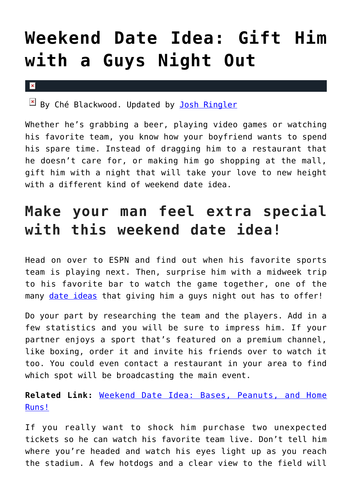## **[Weekend Date Idea: Gift Him](https://cupidspulse.com/110514/weekend-date-idea-guys-night-out/) [with a Guys Night Out](https://cupidspulse.com/110514/weekend-date-idea-guys-night-out/)**

## $\vert \mathbf{x} \vert$

 $\boxed{\times}$  By Ché Blackwood. Updated by [Josh Ringler](http://cupidspulse.com/107401/josh-ringler/)

Whether he's grabbing a beer, playing video games or watching his favorite team, you know how your boyfriend wants to spend his spare time. Instead of dragging him to a restaurant that he doesn't care for, or making him go shopping at the mall, gift him with a night that will take your love to new height with a different kind of weekend date idea.

## **Make your man feel extra special with this weekend date idea!**

Head on over to ESPN and find out when his favorite sports team is playing next. Then, surprise him with a midweek trip to his favorite bar to watch the game together, one of the many [date ideas](http://cupidspulse.com/dating/date-ideas/) that giving him a guys night out has to offer!

Do your part by researching the team and the players. Add in a few statistics and you will be sure to impress him. If your partner enjoys a sport that's featured on a premium channel, like boxing, order it and invite his friends over to watch it too. You could even contact a restaurant in your area to find which spot will be broadcasting the main event.

**Related Link:** [Weekend Date Idea: Bases, Peanuts, and Home](http://cupidspulse.com/107748/weekend-date-idea-baseball/) [Runs!](http://cupidspulse.com/107748/weekend-date-idea-baseball/)

If you really want to shock him purchase two unexpected tickets so he can watch his favorite team live. Don't tell him where you're headed and watch his eyes light up as you reach the stadium. A few hotdogs and a clear view to the field will